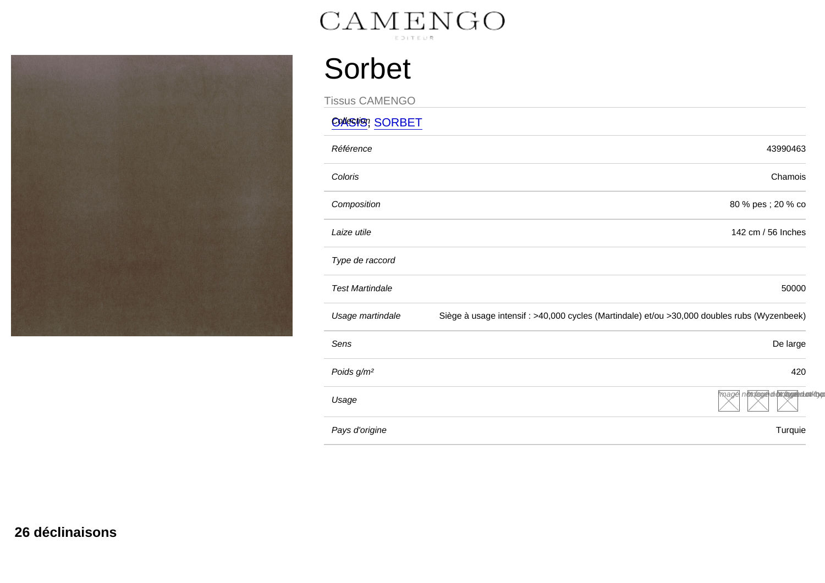## Sorbet

Tissus CAMENGO Collection, CODDET

| <b>UAGIS, SURDEI</b>   |                                                                                             |
|------------------------|---------------------------------------------------------------------------------------------|
| Référence              | 43990463                                                                                    |
| Coloris                | Chamois                                                                                     |
| Composition            | 80 % pes ; 20 % co                                                                          |
| Laize utile            | 142 cm / 56 Inches                                                                          |
| Type de raccord        |                                                                                             |
| <b>Test Martindale</b> | 50000                                                                                       |
| Usage martindale       | Siège à usage intensif : >40,000 cycles (Martindale) et/ou >30,000 doubles rubs (Wyzenbeek) |
| Sens                   | De large                                                                                    |
| Poids g/m <sup>2</sup> | 420                                                                                         |
| Usage                  | mage nothtage diottages duottivo                                                            |
| Pays d'origine         | Turquie                                                                                     |
|                        |                                                                                             |